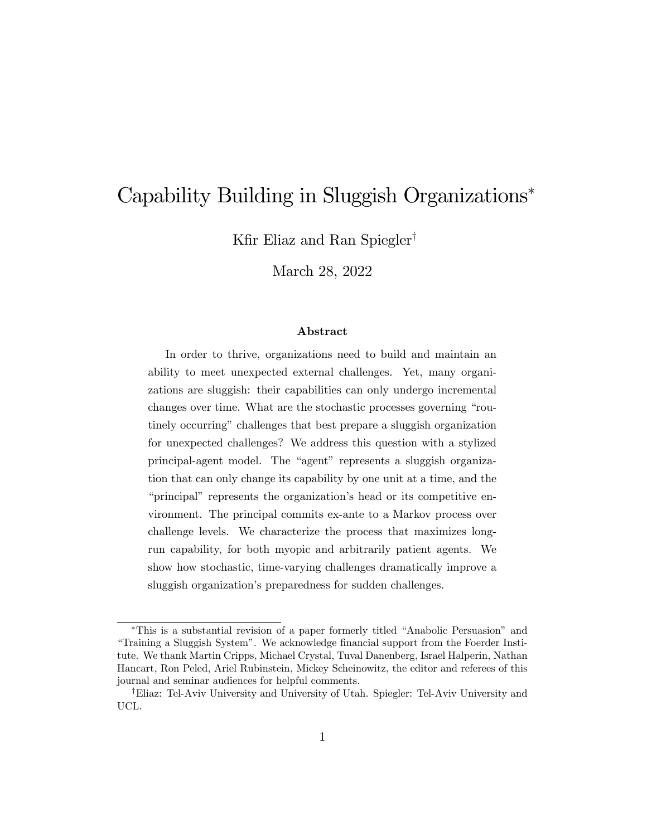# Capability Building in Sluggish Organizations

Kfir Eliaz and Ran Spiegler<sup>†</sup>

March 28, 2022

#### Abstract

In order to thrive, organizations need to build and maintain an ability to meet unexpected external challenges. Yet, many organizations are sluggish: their capabilities can only undergo incremental changes over time. What are the stochastic processes governing "routinely occurring" challenges that best prepare a sluggish organization for unexpected challenges? We address this question with a stylized principal-agent model. The "agent" represents a sluggish organization that can only change its capability by one unit at a time, and the "principal" represents the organization's head or its competitive environment. The principal commits ex-ante to a Markov process over challenge levels. We characterize the process that maximizes longrun capability, for both myopic and arbitrarily patient agents. We show how stochastic, time-varying challenges dramatically improve a sluggish organization's preparedness for sudden challenges.

<sup>\*</sup>This is a substantial revision of a paper formerly titled "Anabolic Persuasion" and ìTraining a Sluggish Systemî. We acknowledge Önancial support from the Foerder Institute. We thank Martin Cripps, Michael Crystal, Tuval Danenberg, Israel Halperin, Nathan Hancart, Ron Peled, Ariel Rubinstein, Mickey Scheinowitz, the editor and referees of this journal and seminar audiences for helpful comments.

<sup>&</sup>lt;sup>†</sup>Eliaz: Tel-Aviv University and University of Utah. Spiegler: Tel-Aviv University and UCL.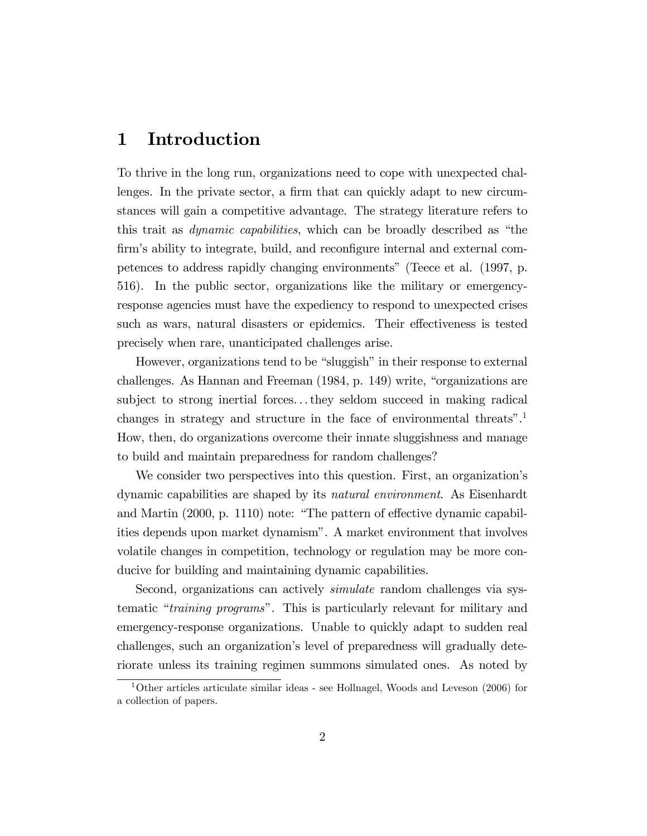# 1 Introduction

To thrive in the long run, organizations need to cope with unexpected challenges. In the private sector, a firm that can quickly adapt to new circumstances will gain a competitive advantage. The strategy literature refers to this trait as *dynamic capabilities*, which can be broadly described as "the firm's ability to integrate, build, and reconfigure internal and external competences to address rapidly changing environmentsî (Teece et al. (1997, p. 516). In the public sector, organizations like the military or emergencyresponse agencies must have the expediency to respond to unexpected crises such as wars, natural disasters or epidemics. Their effectiveness is tested precisely when rare, unanticipated challenges arise.

However, organizations tend to be "sluggish" in their response to external challenges. As Hannan and Freeman  $(1984, p. 149)$  write, "organizations are subject to strong inertial forces. . . they seldom succeed in making radical changes in strategy and structure in the face of environmental threats".<sup>1</sup> How, then, do organizations overcome their innate sluggishness and manage to build and maintain preparedness for random challenges?

We consider two perspectives into this question. First, an organization's dynamic capabilities are shaped by its natural environment. As Eisenhardt and Martin  $(2000, p. 1110)$  note: "The pattern of effective dynamic capabilities depends upon market dynamismî. A market environment that involves volatile changes in competition, technology or regulation may be more conducive for building and maintaining dynamic capabilities.

Second, organizations can actively *simulate* random challenges via systematic "*training programs*". This is particularly relevant for military and emergency-response organizations. Unable to quickly adapt to sudden real challenges, such an organization's level of preparedness will gradually deteriorate unless its training regimen summons simulated ones. As noted by

<sup>&</sup>lt;sup>1</sup>Other articles articulate similar ideas - see Hollnagel, Woods and Leveson (2006) for a collection of papers.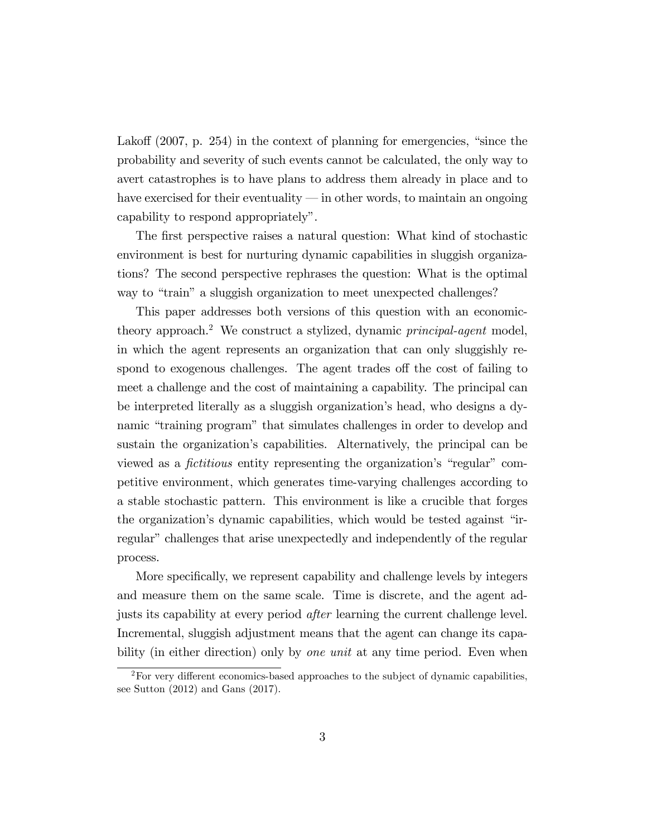Lakoff  $(2007, p. 254)$  in the context of planning for emergencies, "since the probability and severity of such events cannot be calculated, the only way to avert catastrophes is to have plans to address them already in place and to have exercised for their eventuality  $\frac{d}{dx}$  in other words, to maintain an ongoing capability to respond appropriately".

The first perspective raises a natural question: What kind of stochastic environment is best for nurturing dynamic capabilities in sluggish organizations? The second perspective rephrases the question: What is the optimal way to "train" a sluggish organization to meet unexpected challenges?

This paper addresses both versions of this question with an economictheory approach.<sup>2</sup> We construct a stylized, dynamic *principal-agent* model, in which the agent represents an organization that can only sluggishly respond to exogenous challenges. The agent trades of the cost of failing to meet a challenge and the cost of maintaining a capability. The principal can be interpreted literally as a sluggish organizationís head, who designs a dynamic "training program" that simulates challenges in order to develop and sustain the organization's capabilities. Alternatively, the principal can be viewed as a *fictitious* entity representing the organization's "regular" competitive environment, which generates time-varying challenges according to a stable stochastic pattern. This environment is like a crucible that forges the organization's dynamic capabilities, which would be tested against "inregular" challenges that arise unexpectedly and independently of the regular process.

More specifically, we represent capability and challenge levels by integers and measure them on the same scale. Time is discrete, and the agent adjusts its capability at every period after learning the current challenge level. Incremental, sluggish adjustment means that the agent can change its capability (in either direction) only by *one unit* at any time period. Even when

 ${}^{2}$ For very different economics-based approaches to the subject of dynamic capabilities, see Sutton (2012) and Gans (2017).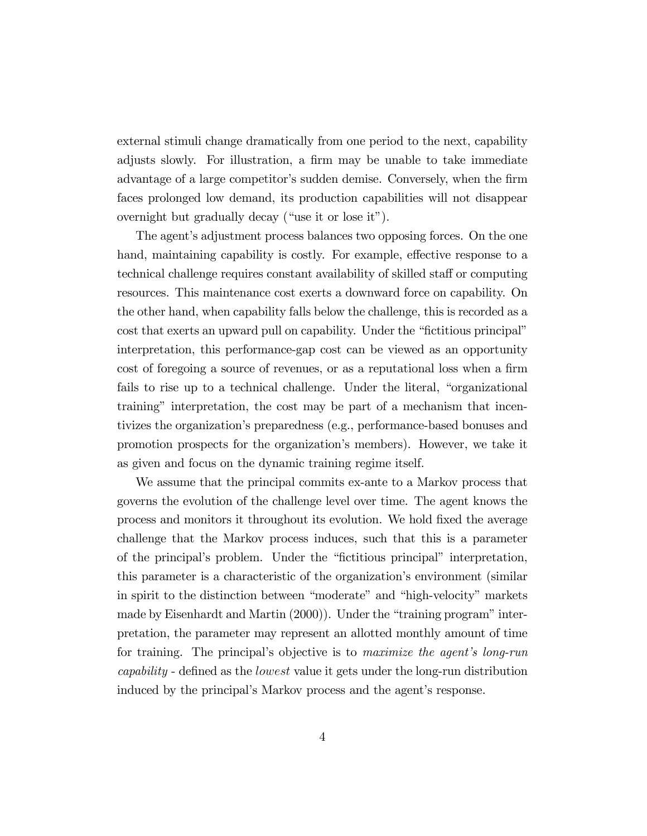external stimuli change dramatically from one period to the next, capability adjusts slowly. For illustration, a firm may be unable to take immediate advantage of a large competitor's sudden demise. Conversely, when the firm faces prolonged low demand, its production capabilities will not disappear overnight but gradually decay ("use it or lose it").

The agent's adjustment process balances two opposing forces. On the one hand, maintaining capability is costly. For example, effective response to a technical challenge requires constant availability of skilled staff or computing resources. This maintenance cost exerts a downward force on capability. On the other hand, when capability falls below the challenge, this is recorded as a cost that exerts an upward pull on capability. Under the "fictitious principal" interpretation, this performance-gap cost can be viewed as an opportunity cost of foregoing a source of revenues, or as a reputational loss when a firm fails to rise up to a technical challenge. Under the literal, "organizational" training" interpretation, the cost may be part of a mechanism that incentivizes the organizationís preparedness (e.g., performance-based bonuses and promotion prospects for the organizationís members). However, we take it as given and focus on the dynamic training regime itself.

We assume that the principal commits ex-ante to a Markov process that governs the evolution of the challenge level over time. The agent knows the process and monitors it throughout its evolution. We hold fixed the average challenge that the Markov process induces, such that this is a parameter of the principal's problem. Under the "fictitious principal" interpretation, this parameter is a characteristic of the organization's environment (similar) in spirit to the distinction between "moderate" and "high-velocity" markets made by Eisenhardt and Martin  $(2000)$ . Under the "training program" interpretation, the parameter may represent an allotted monthly amount of time for training. The principal's objective is to maximize the agent's long-run capability - defined as the lowest value it gets under the long-run distribution induced by the principal's Markov process and the agent's response.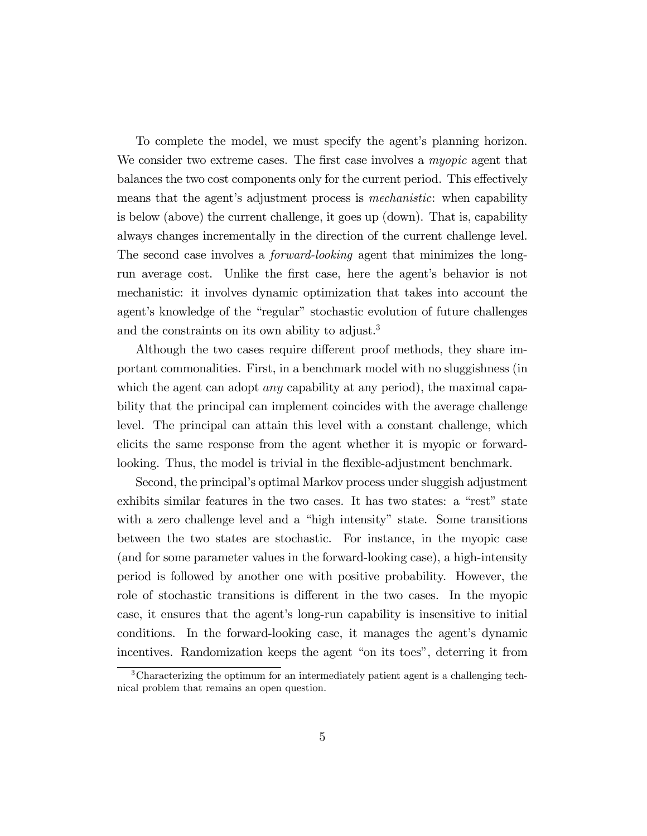To complete the model, we must specify the agent's planning horizon. We consider two extreme cases. The first case involves a myopic agent that balances the two cost components only for the current period. This effectively means that the agent's adjustment process is *mechanistic*: when capability is below (above) the current challenge, it goes up (down). That is, capability always changes incrementally in the direction of the current challenge level. The second case involves a forward-looking agent that minimizes the longrun average cost. Unlike the first case, here the agent's behavior is not mechanistic: it involves dynamic optimization that takes into account the agent's knowledge of the "regular" stochastic evolution of future challenges and the constraints on its own ability to adjust.<sup>3</sup>

Although the two cases require different proof methods, they share important commonalities. First, in a benchmark model with no sluggishness (in which the agent can adopt *any* capability at any period), the maximal capability that the principal can implement coincides with the average challenge level. The principal can attain this level with a constant challenge, which elicits the same response from the agent whether it is myopic or forwardlooking. Thus, the model is trivial in the flexible-adjustment benchmark.

Second, the principal's optimal Markov process under sluggish adjustment exhibits similar features in the two cases. It has two states: a "rest" state with a zero challenge level and a "high intensity" state. Some transitions between the two states are stochastic. For instance, in the myopic case (and for some parameter values in the forward-looking case), a high-intensity period is followed by another one with positive probability. However, the role of stochastic transitions is different in the two cases. In the myopic case, it ensures that the agent's long-run capability is insensitive to initial conditions. In the forward-looking case, it manages the agent's dynamic incentives. Randomization keeps the agent "on its toes", deterring it from

<sup>3</sup>Characterizing the optimum for an intermediately patient agent is a challenging technical problem that remains an open question.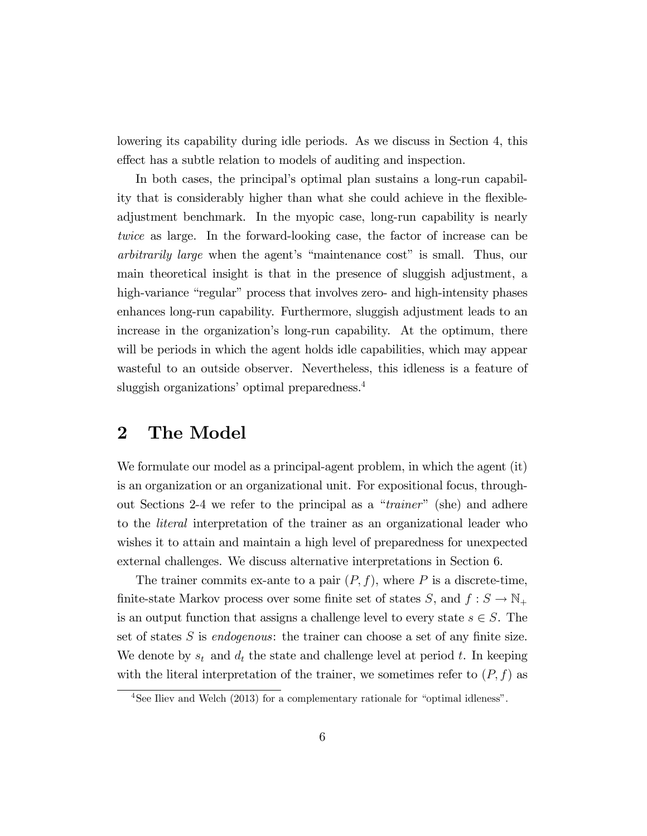lowering its capability during idle periods. As we discuss in Section 4, this effect has a subtle relation to models of auditing and inspection.

In both cases, the principal's optimal plan sustains a long-run capability that is considerably higher than what she could achieve in the flexibleadjustment benchmark. In the myopic case, long-run capability is nearly twice as large. In the forward-looking case, the factor of increase can be arbitrarily large when the agent's "maintenance cost" is small. Thus, our main theoretical insight is that in the presence of sluggish adjustment, a high-variance "regular" process that involves zero- and high-intensity phases enhances long-run capability. Furthermore, sluggish adjustment leads to an increase in the organization's long-run capability. At the optimum, there will be periods in which the agent holds idle capabilities, which may appear wasteful to an outside observer. Nevertheless, this idleness is a feature of sluggish organizations' optimal preparedness.<sup>4</sup>

# 2 The Model

We formulate our model as a principal-agent problem, in which the agent (it) is an organization or an organizational unit. For expositional focus, throughout Sections 2-4 we refer to the principal as a "*trainer*" (she) and adhere to the literal interpretation of the trainer as an organizational leader who wishes it to attain and maintain a high level of preparedness for unexpected external challenges. We discuss alternative interpretations in Section 6.

The trainer commits ex-ante to a pair  $(P, f)$ , where P is a discrete-time, finite-state Markov process over some finite set of states S, and  $f : S \to \mathbb{N}_+$ is an output function that assigns a challenge level to every state  $s \in S$ . The set of states  $S$  is *endogenous*: the trainer can choose a set of any finite size. We denote by  $s_t$  and  $d_t$  the state and challenge level at period t. In keeping with the literal interpretation of the trainer, we sometimes refer to  $(P, f)$  as

 $4$ See Iliev and Welch (2013) for a complementary rationale for "optimal idleness".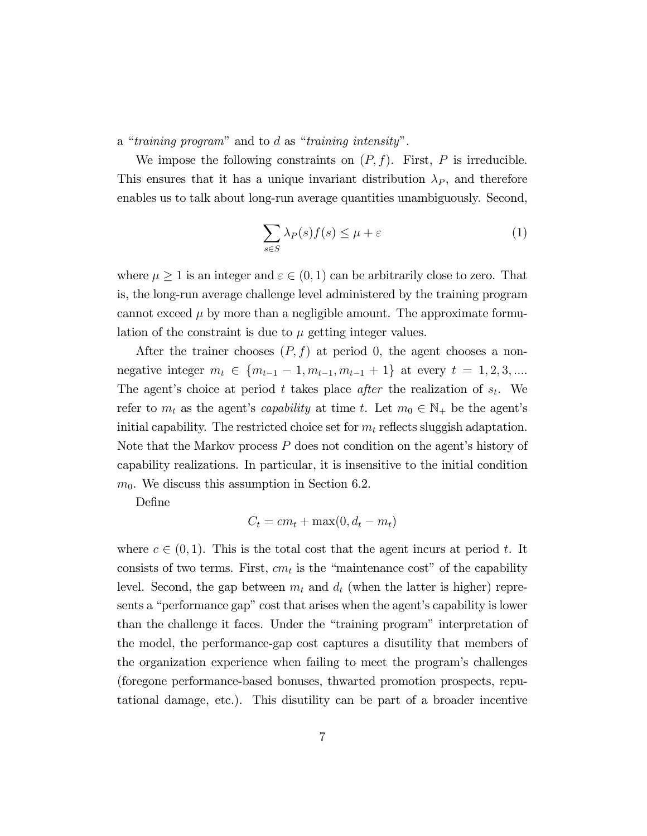a "training program" and to  $d$  as "training intensity".

We impose the following constraints on  $(P, f)$ . First, P is irreducible. This ensures that it has a unique invariant distribution  $\lambda_P$ , and therefore enables us to talk about long-run average quantities unambiguously. Second,

$$
\sum_{s \in S} \lambda_P(s) f(s) \le \mu + \varepsilon \tag{1}
$$

where  $\mu \geq 1$  is an integer and  $\varepsilon \in (0, 1)$  can be arbitrarily close to zero. That is, the long-run average challenge level administered by the training program cannot exceed  $\mu$  by more than a negligible amount. The approximate formulation of the constraint is due to  $\mu$  getting integer values.

After the trainer chooses  $(P, f)$  at period 0, the agent chooses a nonnegative integer  $m_t \in \{m_{t-1} - 1, m_{t-1}, m_{t-1} + 1\}$  at every  $t = 1, 2, 3, ...$ The agent's choice at period t takes place after the realization of  $s_t$ . We refer to  $m_t$  as the agent's *capability* at time t. Let  $m_0 \in \mathbb{N}_+$  be the agent's initial capability. The restricted choice set for  $m_t$  reflects sluggish adaptation. Note that the Markov process  $P$  does not condition on the agent's history of capability realizations. In particular, it is insensitive to the initial condition  $m<sub>0</sub>$ . We discuss this assumption in Section 6.2.

DeÖne

$$
C_t = cm_t + \max(0, d_t - m_t)
$$

where  $c \in (0, 1)$ . This is the total cost that the agent incurs at period t. It consists of two terms. First,  $cm_t$  is the "maintenance cost" of the capability level. Second, the gap between  $m_t$  and  $d_t$  (when the latter is higher) represents a "performance gap" cost that arises when the agent's capability is lower than the challenge it faces. Under the "training program" interpretation of the model, the performance-gap cost captures a disutility that members of the organization experience when failing to meet the program's challenges (foregone performance-based bonuses, thwarted promotion prospects, reputational damage, etc.). This disutility can be part of a broader incentive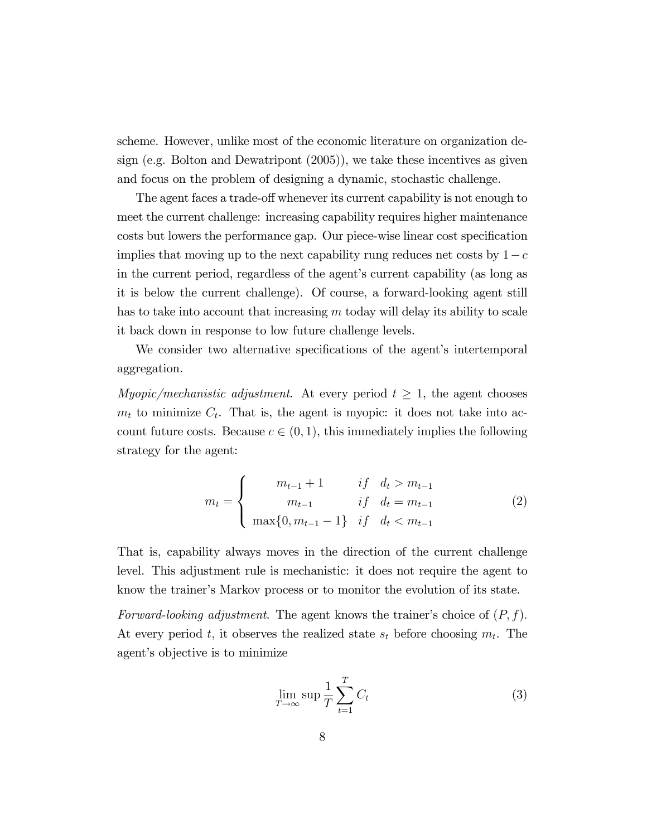scheme. However, unlike most of the economic literature on organization design (e.g. Bolton and Dewatripont (2005)), we take these incentives as given and focus on the problem of designing a dynamic, stochastic challenge.

The agent faces a trade-off whenever its current capability is not enough to meet the current challenge: increasing capability requires higher maintenance costs but lowers the performance gap. Our piece-wise linear cost specification implies that moving up to the next capability rung reduces net costs by  $1-c$ in the current period, regardless of the agent's current capability (as long as it is below the current challenge). Of course, a forward-looking agent still has to take into account that increasing  $m$  today will delay its ability to scale it back down in response to low future challenge levels.

We consider two alternative specifications of the agent's intertemporal aggregation.

Myopic/mechanistic adjustment. At every period  $t \geq 1$ , the agent chooses  $m_t$  to minimize  $C_t$ . That is, the agent is myopic: it does not take into account future costs. Because  $c \in (0, 1)$ , this immediately implies the following strategy for the agent:

$$
m_{t} = \begin{cases} m_{t-1} + 1 & \text{if } d_{t} > m_{t-1} \\ m_{t-1} & \text{if } d_{t} = m_{t-1} \\ \max\{0, m_{t-1} - 1\} & \text{if } d_{t} < m_{t-1} \end{cases} \tag{2}
$$

That is, capability always moves in the direction of the current challenge level. This adjustment rule is mechanistic: it does not require the agent to know the trainerís Markov process or to monitor the evolution of its state.

Forward-looking adjustment. The agent knows the trainer's choice of  $(P, f)$ . At every period t, it observes the realized state  $s_t$  before choosing  $m_t$ . The agent's objective is to minimize

$$
\lim_{T \to \infty} \sup \frac{1}{T} \sum_{t=1}^{T} C_t \tag{3}
$$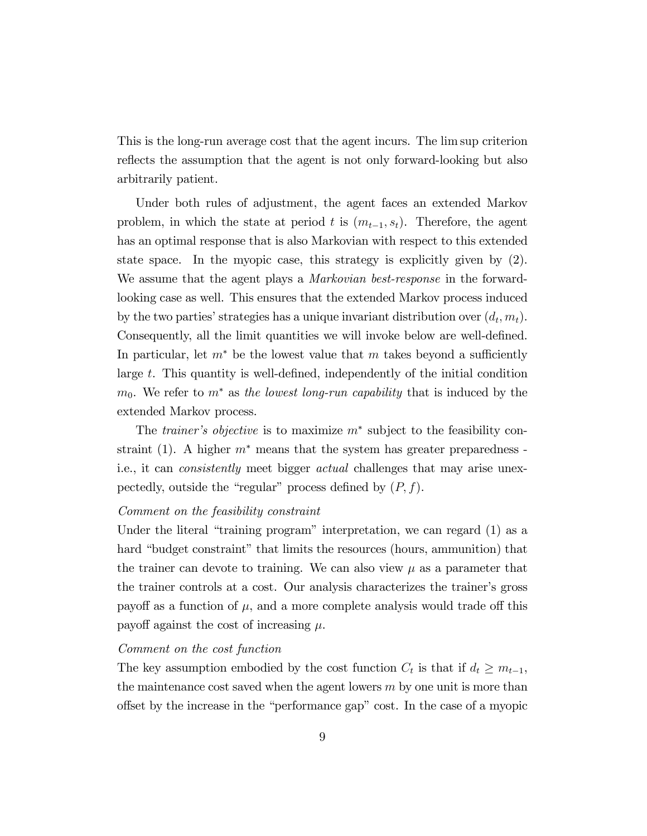This is the long-run average cost that the agent incurs. The lim sup criterion reflects the assumption that the agent is not only forward-looking but also arbitrarily patient.

Under both rules of adjustment, the agent faces an extended Markov problem, in which the state at period t is  $(m_{t-1}, s_t)$ . Therefore, the agent has an optimal response that is also Markovian with respect to this extended state space. In the myopic case, this strategy is explicitly given by (2). We assume that the agent plays a *Markovian best-response* in the forwardlooking case as well. This ensures that the extended Markov process induced by the two parties' strategies has a unique invariant distribution over  $(d_t, m_t)$ . Consequently, all the limit quantities we will invoke below are well-defined. In particular, let  $m^*$  be the lowest value that m takes beyond a sufficiently large  $t$ . This quantity is well-defined, independently of the initial condition  $m_0$ . We refer to  $m^*$  as the lowest long-run capability that is induced by the extended Markov process.

The *trainer's objective* is to maximize  $m^*$  subject to the feasibility constraint (1). A higher  $m^*$  means that the system has greater preparedness i.e., it can consistently meet bigger actual challenges that may arise unexpectedly, outside the "regular" process defined by  $(P, f)$ .

#### Comment on the feasibility constraint

Under the literal "training program" interpretation, we can regard  $(1)$  as a hard "budget constraint" that limits the resources (hours, ammunition) that the trainer can devote to training. We can also view  $\mu$  as a parameter that the trainer controls at a cost. Our analysis characterizes the trainerís gross payoff as a function of  $\mu$ , and a more complete analysis would trade off this payoff against the cost of increasing  $\mu$ .

#### Comment on the cost function

The key assumption embodied by the cost function  $C_t$  is that if  $d_t \geq m_{t-1}$ , the maintenance cost saved when the agent lowers  $m$  by one unit is more than offset by the increase in the "performance gap" cost. In the case of a myopic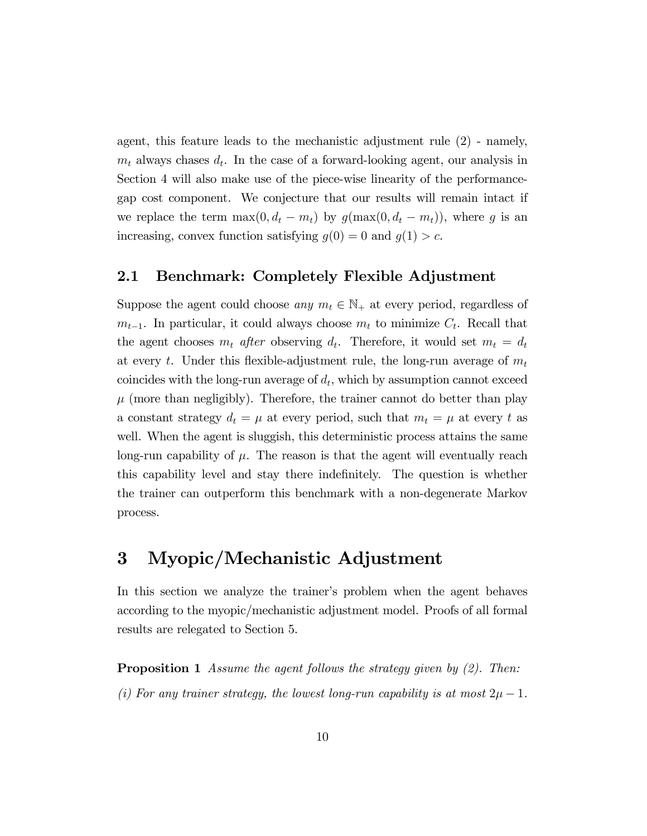agent, this feature leads to the mechanistic adjustment rule (2) - namely,  $m_t$  always chases  $d_t$ . In the case of a forward-looking agent, our analysis in Section 4 will also make use of the piece-wise linearity of the performancegap cost component. We conjecture that our results will remain intact if we replace the term  $\max(0, d_t - m_t)$  by  $g(\max(0, d_t - m_t))$ , where g is an increasing, convex function satisfying  $g(0) = 0$  and  $g(1) > c$ .

### 2.1 Benchmark: Completely Flexible Adjustment

Suppose the agent could choose any  $m_t \in \mathbb{N}_+$  at every period, regardless of  $m_{t-1}$ . In particular, it could always choose  $m_t$  to minimize  $C_t$ . Recall that the agent chooses  $m_t$  after observing  $d_t$ . Therefore, it would set  $m_t = d_t$ at every t. Under this flexible-adjustment rule, the long-run average of  $m_t$ coincides with the long-run average of  $d_t$ , which by assumption cannot exceed  $\mu$  (more than negligibly). Therefore, the trainer cannot do better than play a constant strategy  $d_t = \mu$  at every period, such that  $m_t = \mu$  at every t as well. When the agent is sluggish, this deterministic process attains the same long-run capability of  $\mu$ . The reason is that the agent will eventually reach this capability level and stay there indefinitely. The question is whether the trainer can outperform this benchmark with a non-degenerate Markov process.

# 3 Myopic/Mechanistic Adjustment

In this section we analyze the trainer's problem when the agent behaves according to the myopic/mechanistic adjustment model. Proofs of all formal results are relegated to Section 5.

**Proposition 1** Assume the agent follows the strategy given by  $(2)$ . Then: (i) For any trainer strategy, the lowest long-run capability is at most  $2\mu - 1$ .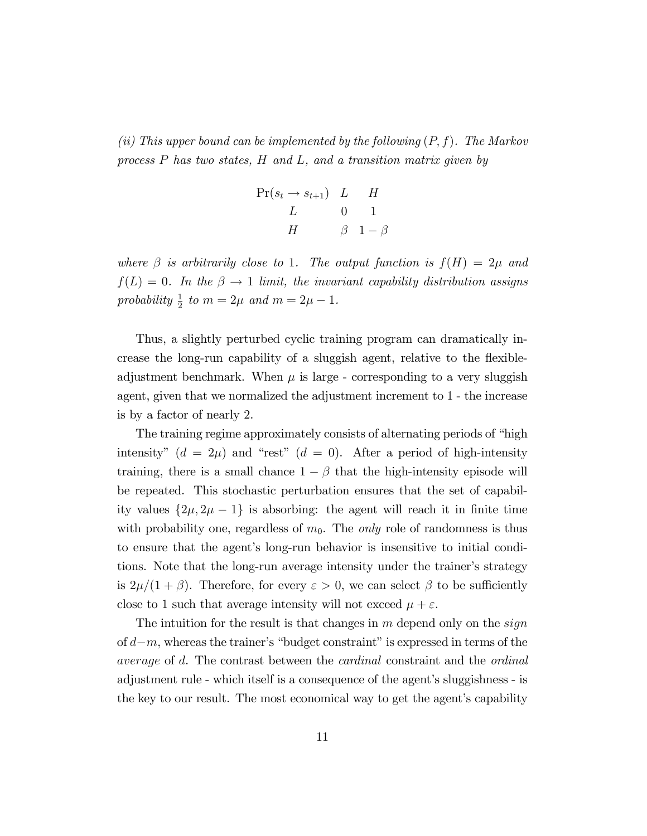(ii) This upper bound can be implemented by the following  $(P, f)$ . The Markov process P has two states, H and L, and a transition matrix given by

$$
\Pr(s_t \to s_{t+1}) \quad L \qquad H
$$
  
\n
$$
L \qquad 0 \qquad 1
$$
  
\n
$$
H \qquad \qquad \beta \quad 1 - \beta
$$

where  $\beta$  is arbitrarily close to 1. The output function is  $f(H) = 2\mu$  and  $f(L) = 0$ . In the  $\beta \rightarrow 1$  limit, the invariant capability distribution assigns probability  $\frac{1}{2}$  to  $m = 2\mu$  and  $m = 2\mu - 1$ .

Thus, a slightly perturbed cyclic training program can dramatically increase the long-run capability of a sluggish agent, relative to the flexibleadjustment benchmark. When  $\mu$  is large - corresponding to a very sluggish agent, given that we normalized the adjustment increment to 1 - the increase is by a factor of nearly 2.

The training regime approximately consists of alternating periods of "high intensity"  $(d = 2\mu)$  and "rest"  $(d = 0)$ . After a period of high-intensity training, there is a small chance  $1 - \beta$  that the high-intensity episode will be repeated. This stochastic perturbation ensures that the set of capability values  $\{2\mu, 2\mu - 1\}$  is absorbing: the agent will reach it in finite time with probability one, regardless of  $m_0$ . The *only* role of randomness is thus to ensure that the agent's long-run behavior is insensitive to initial conditions. Note that the long-run average intensity under the trainer's strategy is  $2\mu/(1+\beta)$ . Therefore, for every  $\varepsilon > 0$ , we can select  $\beta$  to be sufficiently close to 1 such that average intensity will not exceed  $\mu + \varepsilon$ .

The intuition for the result is that changes in  $m$  depend only on the *sign* of  $d-m$ , whereas the trainer's "budget constraint" is expressed in terms of the average of d. The contrast between the cardinal constraint and the ordinal adjustment rule - which itself is a consequence of the agent's sluggishness - is the key to our result. The most economical way to get the agent's capability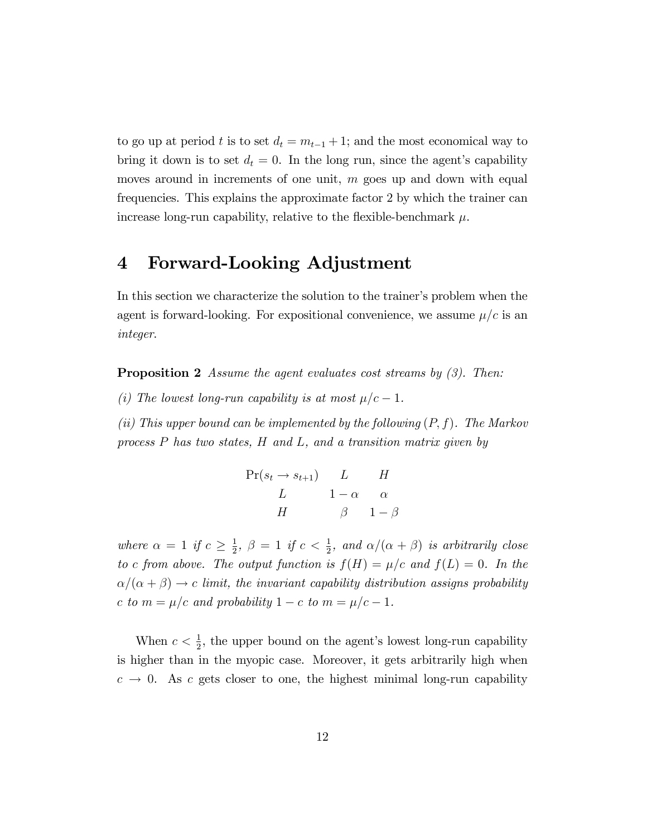to go up at period t is to set  $d_t = m_{t-1} + 1$ ; and the most economical way to bring it down is to set  $d_t = 0$ . In the long run, since the agent's capability moves around in increments of one unit,  $m$  goes up and down with equal frequencies. This explains the approximate factor 2 by which the trainer can increase long-run capability, relative to the flexible-benchmark  $\mu$ .

# 4 Forward-Looking Adjustment

In this section we characterize the solution to the trainer's problem when the agent is forward-looking. For expositional convenience, we assume  $\mu/c$  is an integer.

**Proposition 2** Assume the agent evaluates cost streams by  $(3)$ . Then:

(i) The lowest long-run capability is at most  $\mu/c - 1$ .

(ii) This upper bound can be implemented by the following  $(P, f)$ . The Markov process P has two states, H and L, and a transition matrix given by

$$
\Pr(s_t \to s_{t+1}) \quad L \quad H
$$
  
\n
$$
L \quad 1 - \alpha \quad \alpha
$$
  
\n
$$
H \quad \beta \quad 1 - \beta
$$

where  $\alpha = 1$  if  $c \geq \frac{1}{2}$  $\frac{1}{2}$ ,  $\beta = 1$  if  $c < \frac{1}{2}$ , and  $\alpha/(\alpha + \beta)$  is arbitrarily close to c from above. The output function is  $f(H) = \mu/c$  and  $f(L) = 0$ . In the  $\alpha/(\alpha + \beta) \rightarrow c$  limit, the invariant capability distribution assigns probability c to  $m = \mu/c$  and probability  $1 - c$  to  $m = \mu/c - 1$ .

When  $c < \frac{1}{2}$ , the upper bound on the agent's lowest long-run capability is higher than in the myopic case. Moreover, it gets arbitrarily high when  $c \rightarrow 0$ . As c gets closer to one, the highest minimal long-run capability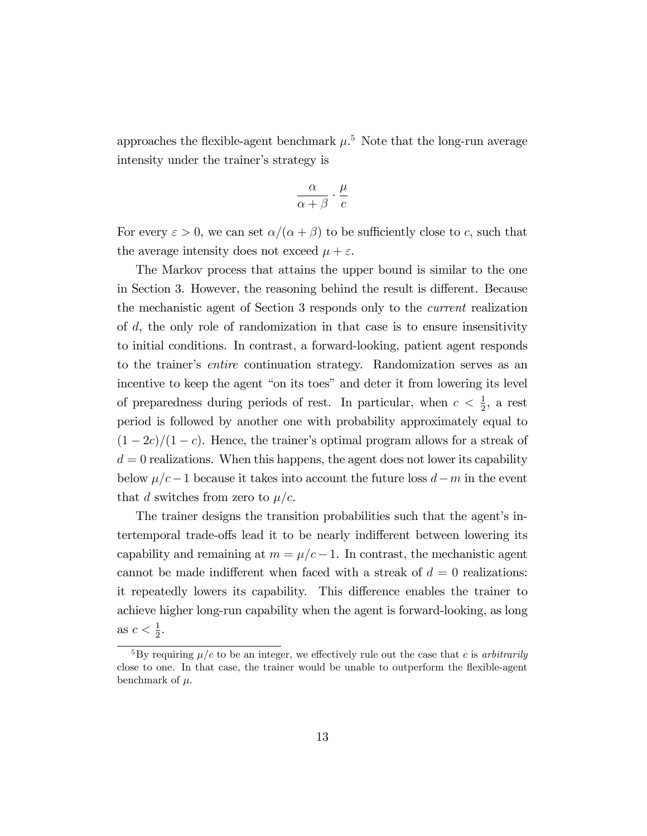approaches the flexible-agent benchmark  $\mu$ <sup>5</sup>. Note that the long-run average intensity under the trainer's strategy is

$$
\frac{\alpha}{\alpha+\beta}\cdot\frac{\mu}{c}
$$

For every  $\varepsilon > 0$ , we can set  $\alpha/(\alpha + \beta)$  to be sufficiently close to c, such that the average intensity does not exceed  $\mu + \varepsilon$ .

The Markov process that attains the upper bound is similar to the one in Section 3. However, the reasoning behind the result is different. Because the mechanistic agent of Section 3 responds only to the current realization of d, the only role of randomization in that case is to ensure insensitivity to initial conditions. In contrast, a forward-looking, patient agent responds to the trainer's *entire* continuation strategy. Randomization serves as an incentive to keep the agent "on its toes" and deter it from lowering its level of preparedness during periods of rest. In particular, when  $c < \frac{1}{2}$ , a rest period is followed by another one with probability approximately equal to  $(1 - 2c)/(1 - c)$ . Hence, the trainer's optimal program allows for a streak of  $d = 0$  realizations. When this happens, the agent does not lower its capability below  $\mu/c-1$  because it takes into account the future loss  $d-m$  in the event that d switches from zero to  $\mu/c$ .

The trainer designs the transition probabilities such that the agent's intertemporal trade-offs lead it to be nearly indifferent between lowering its capability and remaining at  $m = \mu/c - 1$ . In contrast, the mechanistic agent cannot be made indifferent when faced with a streak of  $d = 0$  realizations: it repeatedly lowers its capability. This difference enables the trainer to achieve higher long-run capability when the agent is forward-looking, as long as  $c < \frac{1}{2}$ .

<sup>&</sup>lt;sup>5</sup>By requiring  $\mu/c$  to be an integer, we effectively rule out the case that c is arbitrarily close to one. In that case, the trainer would be unable to outperform the flexible-agent benchmark of  $\mu$ .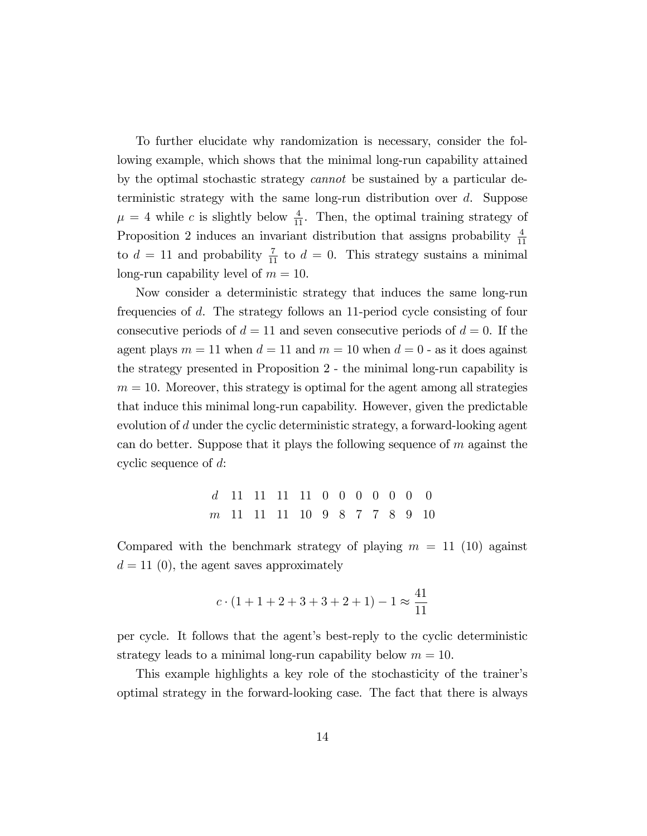To further elucidate why randomization is necessary, consider the following example, which shows that the minimal long-run capability attained by the optimal stochastic strategy cannot be sustained by a particular deterministic strategy with the same long-run distribution over d. Suppose  $\mu = 4$  while c is slightly below  $\frac{4}{11}$ . Then, the optimal training strategy of Proposition 2 induces an invariant distribution that assigns probability  $\frac{4}{11}$ to  $d = 11$  and probability  $\frac{7}{11}$  to  $d = 0$ . This strategy sustains a minimal long-run capability level of  $m = 10$ .

Now consider a deterministic strategy that induces the same long-run frequencies of d. The strategy follows an 11-period cycle consisting of four consecutive periods of  $d = 11$  and seven consecutive periods of  $d = 0$ . If the agent plays  $m = 11$  when  $d = 11$  and  $m = 10$  when  $d = 0$  - as it does against the strategy presented in Proposition 2 - the minimal long-run capability is  $m = 10$ . Moreover, this strategy is optimal for the agent among all strategies that induce this minimal long-run capability. However, given the predictable evolution of d under the cyclic deterministic strategy, a forward-looking agent can do better. Suppose that it plays the following sequence of  $m$  against the cyclic sequence of d:

> d 11 11 11 11 0 0 0 0 0 0 0 m 11 11 11 10 9 8 7 7 8 9 10

Compared with the benchmark strategy of playing  $m = 11$  (10) against  $d = 11$  (0), the agent saves approximately

$$
c \cdot (1 + 1 + 2 + 3 + 3 + 2 + 1) - 1 \approx \frac{41}{11}
$$

per cycle. It follows that the agentís best-reply to the cyclic deterministic strategy leads to a minimal long-run capability below  $m = 10$ .

This example highlights a key role of the stochasticity of the trainer's optimal strategy in the forward-looking case. The fact that there is always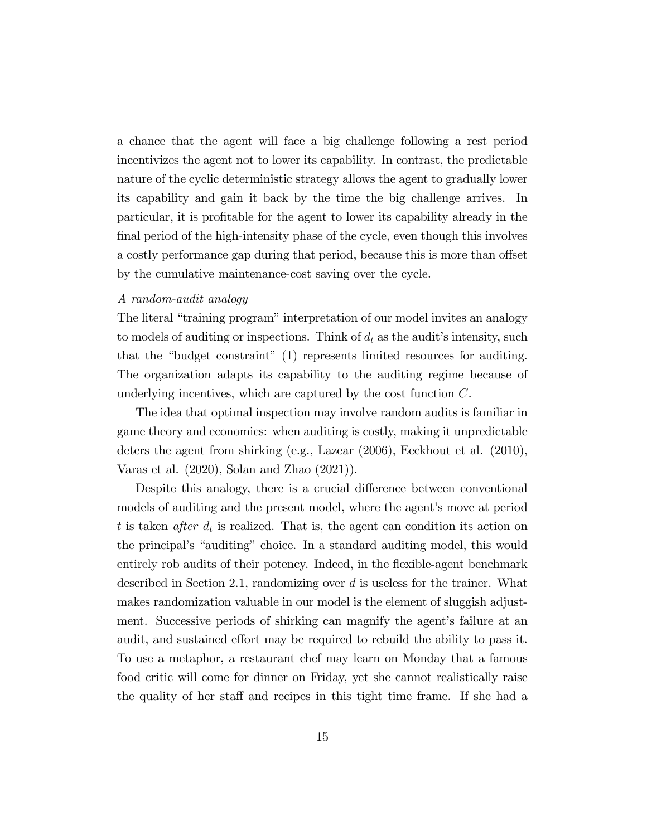a chance that the agent will face a big challenge following a rest period incentivizes the agent not to lower its capability. In contrast, the predictable nature of the cyclic deterministic strategy allows the agent to gradually lower its capability and gain it back by the time the big challenge arrives. In particular, it is profitable for the agent to lower its capability already in the final period of the high-intensity phase of the cycle, even though this involves a costly performance gap during that period, because this is more than offset by the cumulative maintenance-cost saving over the cycle.

#### A random-audit analogy

The literal "training program" interpretation of our model invites an analogy to models of auditing or inspections. Think of  $d_t$  as the audit's intensity, such that the "budget constraint"  $(1)$  represents limited resources for auditing. The organization adapts its capability to the auditing regime because of underlying incentives, which are captured by the cost function  $C$ .

The idea that optimal inspection may involve random audits is familiar in game theory and economics: when auditing is costly, making it unpredictable deters the agent from shirking (e.g., Lazear (2006), Eeckhout et al. (2010), Varas et al. (2020), Solan and Zhao (2021)).

Despite this analogy, there is a crucial difference between conventional models of auditing and the present model, where the agent's move at period t is taken *after*  $d_t$  is realized. That is, the agent can condition its action on the principal's "auditing" choice. In a standard auditing model, this would entirely rob audits of their potency. Indeed, in the flexible-agent benchmark described in Section 2.1, randomizing over  $d$  is useless for the trainer. What makes randomization valuable in our model is the element of sluggish adjustment. Successive periods of shirking can magnify the agent's failure at an audit, and sustained effort may be required to rebuild the ability to pass it. To use a metaphor, a restaurant chef may learn on Monday that a famous food critic will come for dinner on Friday, yet she cannot realistically raise the quality of her staff and recipes in this tight time frame. If she had a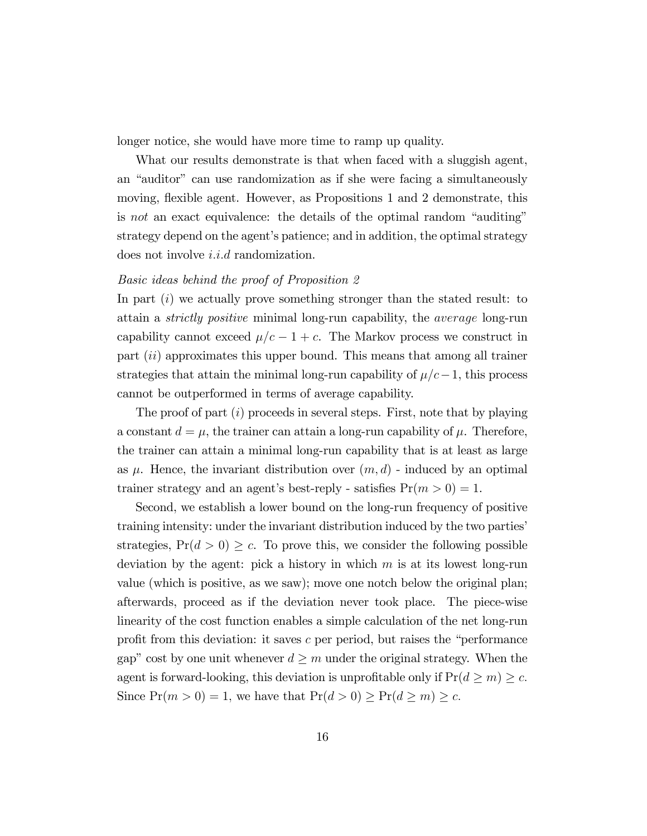longer notice, she would have more time to ramp up quality.

What our results demonstrate is that when faced with a sluggish agent, an "auditor" can use randomization as if she were facing a simultaneously moving, flexible agent. However, as Propositions 1 and 2 demonstrate, this is not an exact equivalence: the details of the optimal random "auditing" strategy depend on the agent's patience; and in addition, the optimal strategy does not involve  $i.i.d$  randomization.

#### Basic ideas behind the proof of Proposition 2

In part  $(i)$  we actually prove something stronger than the stated result: to attain a strictly positive minimal long-run capability, the average long-run capability cannot exceed  $\mu/c - 1 + c$ . The Markov process we construct in part (ii) approximates this upper bound. This means that among all trainer strategies that attain the minimal long-run capability of  $\mu/c-1$ , this process cannot be outperformed in terms of average capability.

The proof of part (i) proceeds in several steps. First, note that by playing a constant  $d = \mu$ , the trainer can attain a long-run capability of  $\mu$ . Therefore, the trainer can attain a minimal long-run capability that is at least as large as  $\mu$ . Hence, the invariant distribution over  $(m, d)$  - induced by an optimal trainer strategy and an agent's best-reply - satisfies  $Pr(m > 0) = 1$ .

Second, we establish a lower bound on the long-run frequency of positive training intensity: under the invariant distribution induced by the two parties' strategies,  $Pr(d > 0) \geq c$ . To prove this, we consider the following possible deviation by the agent: pick a history in which  $m$  is at its lowest long-run value (which is positive, as we saw); move one notch below the original plan; afterwards, proceed as if the deviation never took place. The piece-wise linearity of the cost function enables a simple calculation of the net long-run profit from this deviation: it saves  $c$  per period, but raises the "performance" gap" cost by one unit whenever  $d \geq m$  under the original strategy. When the agent is forward-looking, this deviation is unprofitable only if  $Pr(d \ge m) \ge c$ . Since  $Pr(m > 0) = 1$ , we have that  $Pr(d > 0) \geq Pr(d \geq m) \geq c$ .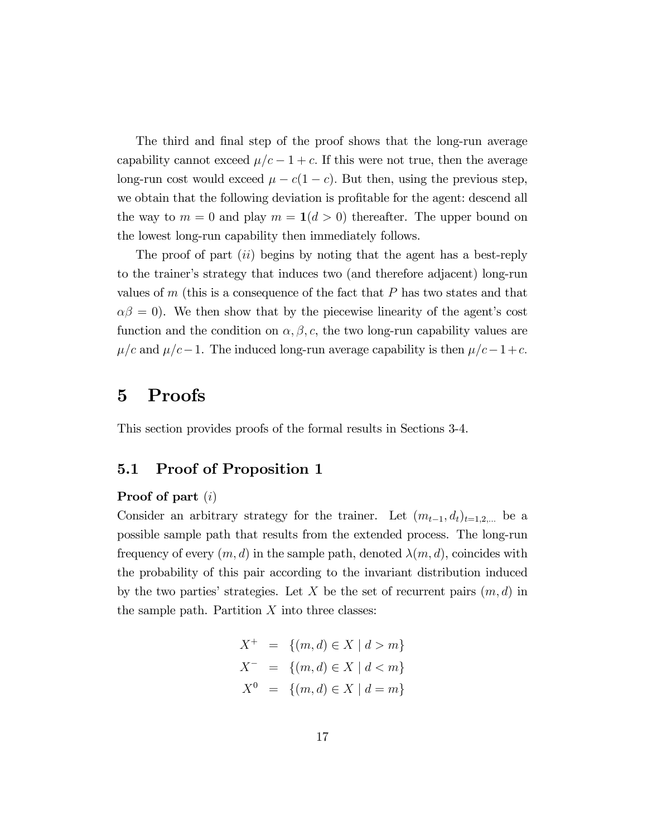The third and final step of the proof shows that the long-run average capability cannot exceed  $\mu/c - 1 + c$ . If this were not true, then the average long-run cost would exceed  $\mu - c(1 - c)$ . But then, using the previous step, we obtain that the following deviation is profitable for the agent: descend all the way to  $m = 0$  and play  $m = 1(d > 0)$  thereafter. The upper bound on the lowest long-run capability then immediately follows.

The proof of part *(ii)* begins by noting that the agent has a best-reply to the trainer's strategy that induces two (and therefore adjacent) long-run values of  $m$  (this is a consequence of the fact that  $P$  has two states and that  $\alpha\beta = 0$ . We then show that by the piecewise linearity of the agent's cost function and the condition on  $\alpha, \beta, c$ , the two long-run capability values are  $\mu/c$  and  $\mu/c-1$ . The induced long-run average capability is then  $\mu/c-1+c$ .

### 5 Proofs

This section provides proofs of the formal results in Sections 3-4.

### 5.1 Proof of Proposition 1

#### Proof of part (i)

Consider an arbitrary strategy for the trainer. Let  $(m_{t-1}, d_t)_{t=1,2,...}$  be a possible sample path that results from the extended process. The long-run frequency of every  $(m, d)$  in the sample path, denoted  $\lambda(m, d)$ , coincides with the probability of this pair according to the invariant distribution induced by the two parties' strategies. Let X be the set of recurrent pairs  $(m, d)$  in the sample path. Partition  $X$  into three classes:

$$
X^{+} = \{(m,d) \in X \mid d > m\}
$$
  

$$
X^{-} = \{(m,d) \in X \mid d < m\}
$$
  

$$
X^{0} = \{(m,d) \in X \mid d = m\}
$$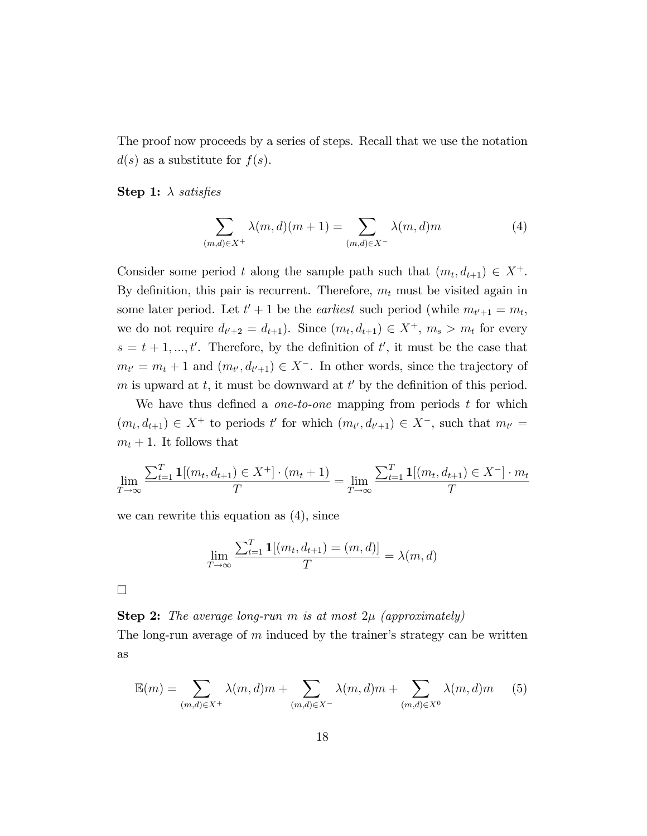The proof now proceeds by a series of steps. Recall that we use the notation  $d(s)$  as a substitute for  $f(s)$ .

**Step 1:**  $\lambda$  satisfies

$$
\sum_{(m,d)\in X^+} \lambda(m,d)(m+1) = \sum_{(m,d)\in X^-} \lambda(m,d)m \tag{4}
$$

Consider some period t along the sample path such that  $(m_t, d_{t+1}) \in X^+$ . By definition, this pair is recurrent. Therefore,  $m_t$  must be visited again in some later period. Let  $t' + 1$  be the *earliest* such period (while  $m_{t'+1} = m_t$ , we do not require  $d_{t'+2} = d_{t+1}$ ). Since  $(m_t, d_{t+1}) \in X^+$ ,  $m_s > m_t$  for every  $s = t + 1, ..., t'$ . Therefore, by the definition of t', it must be the case that  $m_{t'} = m_t + 1$  and  $(m_{t'}, d_{t'+1}) \in X^-$ . In other words, since the trajectory of m is upward at  $t$ , it must be downward at  $t'$  by the definition of this period.

We have thus defined a *one-to-one* mapping from periods  $t$  for which  $(m_t, d_{t+1}) \in X^+$  to periods t' for which  $(m_{t'}, d_{t'+1}) \in X^-$ , such that  $m_{t'} =$  $m_t + 1$ . It follows that

$$
\lim_{T \to \infty} \frac{\sum_{t=1}^{T} \mathbf{1}[(m_t, d_{t+1}) \in X^+] \cdot (m_t + 1)}{T} = \lim_{T \to \infty} \frac{\sum_{t=1}^{T} \mathbf{1}[(m_t, d_{t+1}) \in X^-] \cdot m_t}{T}
$$

we can rewrite this equation as (4), since

$$
\lim_{T \to \infty} \frac{\sum_{t=1}^{T} \mathbf{1}[(m_t, d_{t+1}) = (m, d)]}{T} = \lambda(m, d)
$$

 $\Box$ 

**Step 2:** The average long-run m is at most  $2\mu$  (approximately)

The long-run average of  $m$  induced by the trainer's strategy can be written as

$$
\mathbb{E}(m) = \sum_{(m,d)\in X^+} \lambda(m,d)m + \sum_{(m,d)\in X^-} \lambda(m,d)m + \sum_{(m,d)\in X^0} \lambda(m,d)m \qquad (5)
$$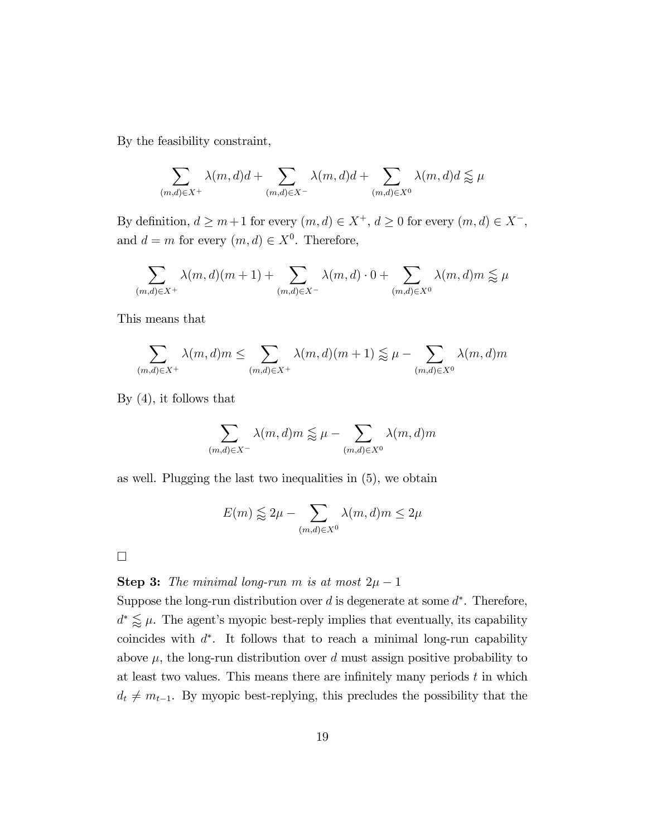By the feasibility constraint,

$$
\sum_{(m,d)\in X^+}\lambda(m,d)d+\sum_{(m,d)\in X^-}\lambda(m,d)d+\sum_{(m,d)\in X^0}\lambda(m,d)d\lessapprox\mu
$$

By definition,  $d \ge m+1$  for every  $(m, d) \in X^+$ ,  $d \ge 0$  for every  $(m, d) \in X^-,$ and  $d = m$  for every  $(m, d) \in X^0$ . Therefore,

$$
\sum_{(m,d)\in X^+} \lambda(m,d)(m+1) + \sum_{(m,d)\in X^-} \lambda(m,d) \cdot 0 + \sum_{(m,d)\in X^0} \lambda(m,d)m \lessapprox \mu
$$

This means that

$$
\sum_{(m,d)\in X^+} \lambda(m,d)m \le \sum_{(m,d)\in X^+} \lambda(m,d)(m+1) \lessapprox \mu - \sum_{(m,d)\in X^0} \lambda(m,d)m
$$

By (4), it follows that

$$
\sum_{(m,d)\in X^-} \lambda(m,d)m \lessapprox \mu - \sum_{(m,d)\in X^0} \lambda(m,d)m
$$

as well. Plugging the last two inequalities in (5), we obtain

$$
E(m) \lessapprox 2\mu - \sum_{(m,d)\in X^0} \lambda(m,d)m \leq 2\mu
$$

 $\Box$ 

#### **Step 3:** The minimal long-run m is at most  $2\mu - 1$

Suppose the long-run distribution over  $d$  is degenerate at some  $d^*$ . Therefore,  $d^* \lessapprox \mu$ . The agent's myopic best-reply implies that eventually, its capability coincides with  $d^*$ . It follows that to reach a minimal long-run capability above  $\mu$ , the long-run distribution over d must assign positive probability to at least two values. This means there are infinitely many periods  $t$  in which  $d_t \neq m_{t-1}$ . By myopic best-replying, this precludes the possibility that the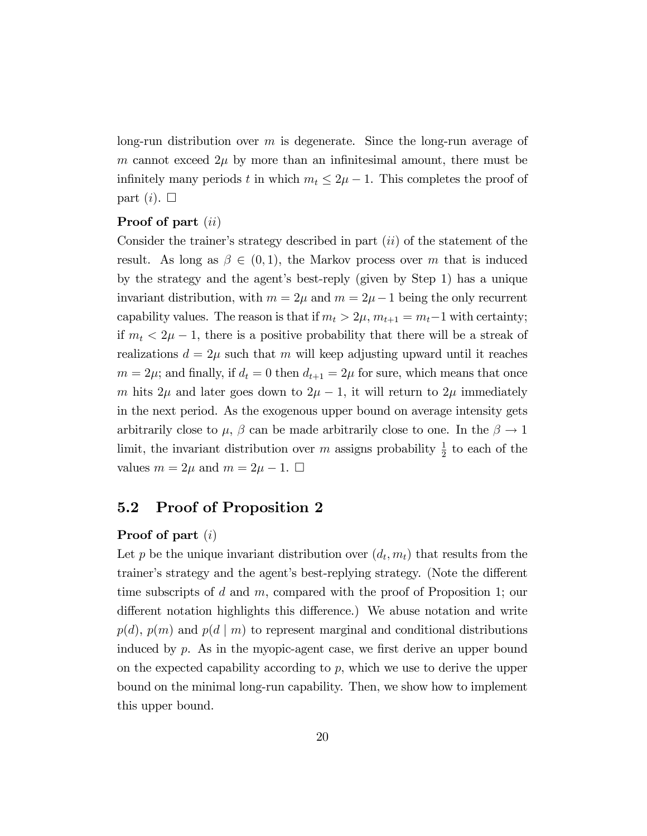long-run distribution over m is degenerate. Since the long-run average of m cannot exceed  $2\mu$  by more than an infinitesimal amount, there must be infinitely many periods t in which  $m_t \leq 2\mu - 1$ . This completes the proof of part  $(i)$ .  $\Box$ 

#### Proof of part (*ii*)

Consider the trainer's strategy described in part  $(ii)$  of the statement of the result. As long as  $\beta \in (0,1)$ , the Markov process over m that is induced by the strategy and the agent's best-reply (given by Step 1) has a unique invariant distribution, with  $m = 2\mu$  and  $m = 2\mu - 1$  being the only recurrent capability values. The reason is that if  $m_t > 2\mu$ ,  $m_{t+1} = m_t-1$  with certainty; if  $m_t < 2\mu - 1$ , there is a positive probability that there will be a streak of realizations  $d = 2\mu$  such that m will keep adjusting upward until it reaches  $m = 2\mu$ ; and finally, if  $d_t = 0$  then  $d_{t+1} = 2\mu$  for sure, which means that once m hits  $2\mu$  and later goes down to  $2\mu - 1$ , it will return to  $2\mu$  immediately in the next period. As the exogenous upper bound on average intensity gets arbitrarily close to  $\mu$ ,  $\beta$  can be made arbitrarily close to one. In the  $\beta \rightarrow 1$ limit, the invariant distribution over m assigns probability  $\frac{1}{2}$  to each of the values  $m = 2\mu$  and  $m = 2\mu - 1$ .  $\Box$ 

### 5.2 Proof of Proposition 2

#### Proof of part (i)

Let p be the unique invariant distribution over  $(d_t, m_t)$  that results from the trainer's strategy and the agent's best-replying strategy. (Note the different time subscripts of d and  $m$ , compared with the proof of Proposition 1; our different notation highlights this difference.) We abuse notation and write  $p(d)$ ,  $p(m)$  and  $p(d | m)$  to represent marginal and conditional distributions induced by  $p$ . As in the myopic-agent case, we first derive an upper bound on the expected capability according to  $p$ , which we use to derive the upper bound on the minimal long-run capability. Then, we show how to implement this upper bound.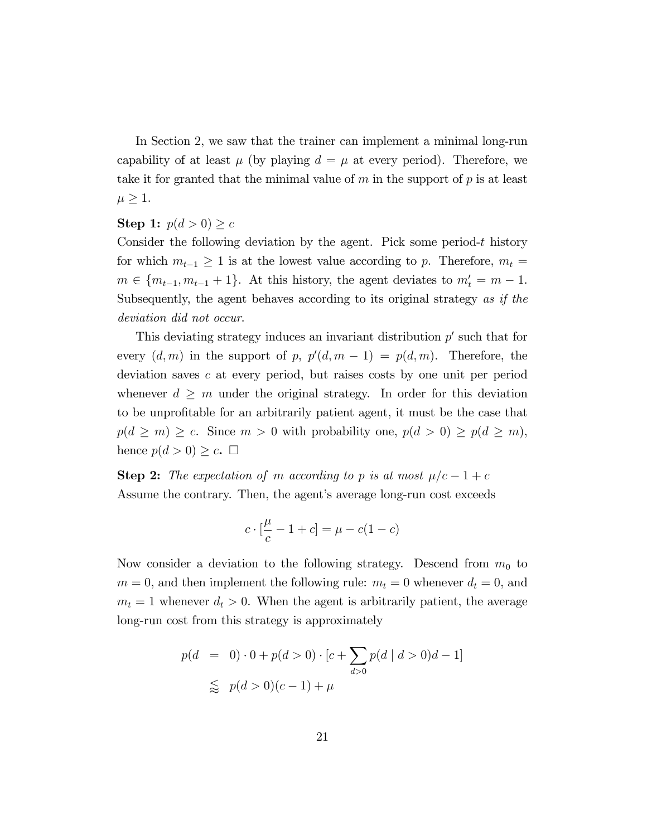In Section 2, we saw that the trainer can implement a minimal long-run capability of at least  $\mu$  (by playing  $d = \mu$  at every period). Therefore, we take it for granted that the minimal value of  $m$  in the support of  $p$  is at least  $\mu \geq 1$ .

#### Step 1:  $p(d > 0) \geq c$

Consider the following deviation by the agent. Pick some period-t history for which  $m_{t-1} \geq 1$  is at the lowest value according to p. Therefore,  $m_t =$  $m \in \{m_{t-1}, m_{t-1} + 1\}$ . At this history, the agent deviates to  $m'_t = m - 1$ . Subsequently, the agent behaves according to its original strategy as if the deviation did not occur.

This deviating strategy induces an invariant distribution  $p'$  such that for every  $(d, m)$  in the support of p,  $p'(d, m - 1) = p(d, m)$ . Therefore, the deviation saves c at every period, but raises costs by one unit per period whenever  $d \geq m$  under the original strategy. In order for this deviation to be unprofitable for an arbitrarily patient agent, it must be the case that  $p(d \ge m) \ge c$ . Since  $m > 0$  with probability one,  $p(d > 0) \ge p(d \ge m)$ , hence  $p(d > 0) \geq c$ .  $\Box$ 

**Step 2:** The expectation of m according to p is at most  $\mu/c - 1 + c$ Assume the contrary. Then, the agent's average long-run cost exceeds

$$
c \cdot \left[\frac{\mu}{c} - 1 + c\right] = \mu - c(1 - c)
$$

Now consider a deviation to the following strategy. Descend from  $m_0$  to  $m = 0$ , and then implement the following rule:  $m_t = 0$  whenever  $d_t = 0$ , and  $m_t = 1$  whenever  $d_t > 0$ . When the agent is arbitrarily patient, the average long-run cost from this strategy is approximately

$$
p(d = 0) \cdot 0 + p(d > 0) \cdot [c + \sum_{d > 0} p(d \mid d > 0)d - 1]
$$
  
\$\leqslant p(d > 0)(c - 1) + \mu\$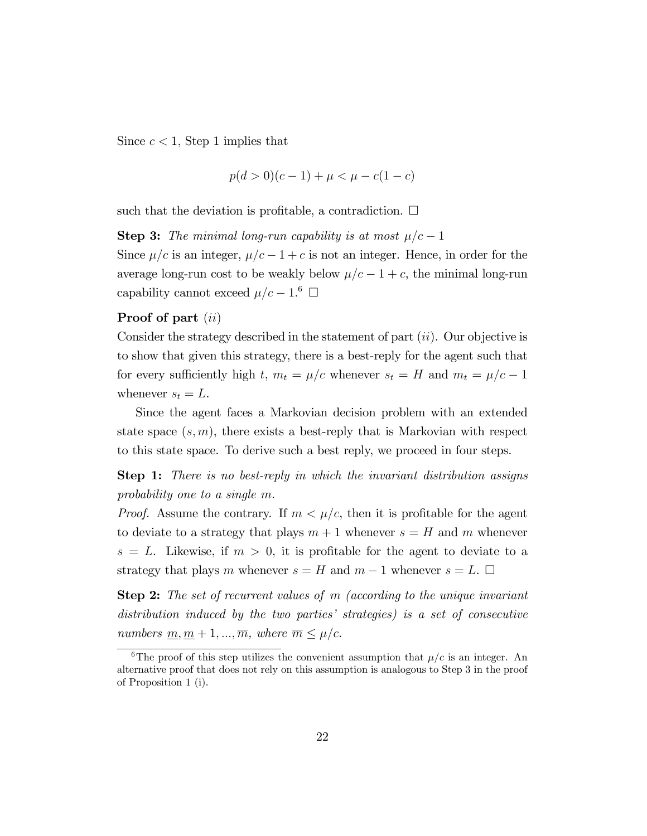Since  $c < 1$ , Step 1 implies that

$$
p(d > 0)(c - 1) + \mu < \mu - c(1 - c)
$$

such that the deviation is profitable, a contradiction.  $\Box$ 

**Step 3:** The minimal long-run capability is at most  $\mu/c - 1$ 

Since  $\mu/c$  is an integer,  $\mu/c - 1 + c$  is not an integer. Hence, in order for the average long-run cost to be weakly below  $\mu/c - 1 + c$ , the minimal long-run capability cannot exceed  $\mu/c - 1$ .<sup>6</sup>  $\Box$ 

#### Proof of part (*ii*)

Consider the strategy described in the statement of part  $(ii)$ . Our objective is to show that given this strategy, there is a best-reply for the agent such that for every sufficiently high t,  $m_t = \mu/c$  whenever  $s_t = H$  and  $m_t = \mu/c - 1$ whenever  $s_t = L$ .

Since the agent faces a Markovian decision problem with an extended state space  $(s, m)$ , there exists a best-reply that is Markovian with respect to this state space. To derive such a best reply, we proceed in four steps.

Step 1: There is no best-reply in which the invariant distribution assigns probability one to a single m.

*Proof.* Assume the contrary. If  $m < \mu/c$ , then it is profitable for the agent to deviate to a strategy that plays  $m + 1$  whenever  $s = H$  and m whenever  $s = L$ . Likewise, if  $m > 0$ , it is profitable for the agent to deviate to a strategy that plays m whenever  $s = H$  and  $m - 1$  whenever  $s = L$ .  $\Box$ 

Step 2: The set of recurrent values of m (according to the unique invariant distribution induced by the two parties' strategies) is a set of consecutive numbers  $m, m + 1, ..., \overline{m}$ , where  $\overline{m} \leq \mu/c$ .

<sup>&</sup>lt;sup>6</sup>The proof of this step utilizes the convenient assumption that  $\mu/c$  is an integer. An alternative proof that does not rely on this assumption is analogous to Step 3 in the proof of Proposition 1 (i).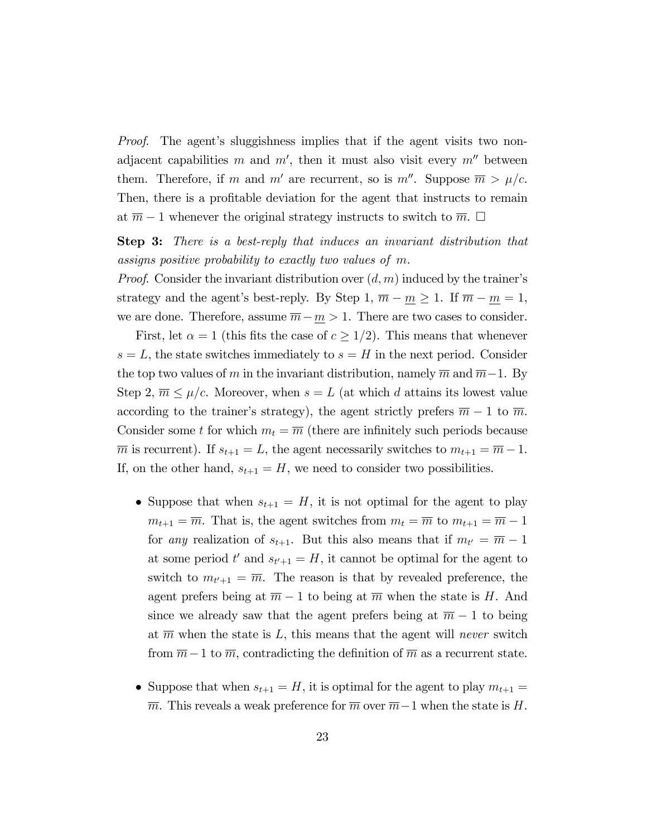*Proof.* The agent's sluggishness implies that if the agent visits two nonadjacent capabilities m and  $m'$ , then it must also visit every  $m''$  between them. Therefore, if m and m' are recurrent, so is m''. Suppose  $\overline{m} > \mu/c$ . Then, there is a profitable deviation for the agent that instructs to remain at  $\overline{m} - 1$  whenever the original strategy instructs to switch to  $\overline{m}$ .  $\Box$ 

Step 3: There is a best-reply that induces an invariant distribution that assigns positive probability to exactly two values of m.

*Proof.* Consider the invariant distribution over  $(d, m)$  induced by the trainer's strategy and the agent's best-reply. By Step 1,  $\overline{m} - \underline{m} \ge 1$ . If  $\overline{m} - \underline{m} = 1$ , we are done. Therefore, assume  $\overline{m} - \underline{m} > 1$ . There are two cases to consider.

First, let  $\alpha = 1$  (this fits the case of  $c \geq 1/2$ ). This means that whenever  $s = L$ , the state switches immediately to  $s = H$  in the next period. Consider the top two values of m in the invariant distribution, namely  $\overline{m}$  and  $\overline{m-1}$ . By Step 2,  $\overline{m} \leq \mu/c$ . Moreover, when  $s = L$  (at which d attains its lowest value according to the trainer's strategy), the agent strictly prefers  $\overline{m} - 1$  to  $\overline{m}$ . Consider some t for which  $m_t = \overline{m}$  (there are infinitely such periods because  $\overline{m}$  is recurrent). If  $s_{t+1} = L$ , the agent necessarily switches to  $m_{t+1} = \overline{m} - 1$ . If, on the other hand,  $s_{t+1} = H$ , we need to consider two possibilities.

- Suppose that when  $s_{t+1} = H$ , it is not optimal for the agent to play  $m_{t+1} = \overline{m}$ . That is, the agent switches from  $m_t = \overline{m}$  to  $m_{t+1} = \overline{m} - 1$ for *any* realization of  $s_{t+1}$ . But this also means that if  $m_{t'} = \overline{m} - 1$ at some period  $t'$  and  $s_{t'+1} = H$ , it cannot be optimal for the agent to switch to  $m_{t'+1} = \overline{m}$ . The reason is that by revealed preference, the agent prefers being at  $\overline{m} - 1$  to being at  $\overline{m}$  when the state is H. And since we already saw that the agent prefers being at  $\overline{m} - 1$  to being at  $\overline{m}$  when the state is L, this means that the agent will never switch from  $\overline{m}-1$  to  $\overline{m}$ , contradicting the definition of  $\overline{m}$  as a recurrent state.
- Suppose that when  $s_{t+1} = H$ , it is optimal for the agent to play  $m_{t+1} =$  $\overline{m}$ . This reveals a weak preference for  $\overline{m}$  over  $\overline{m}-1$  when the state is H.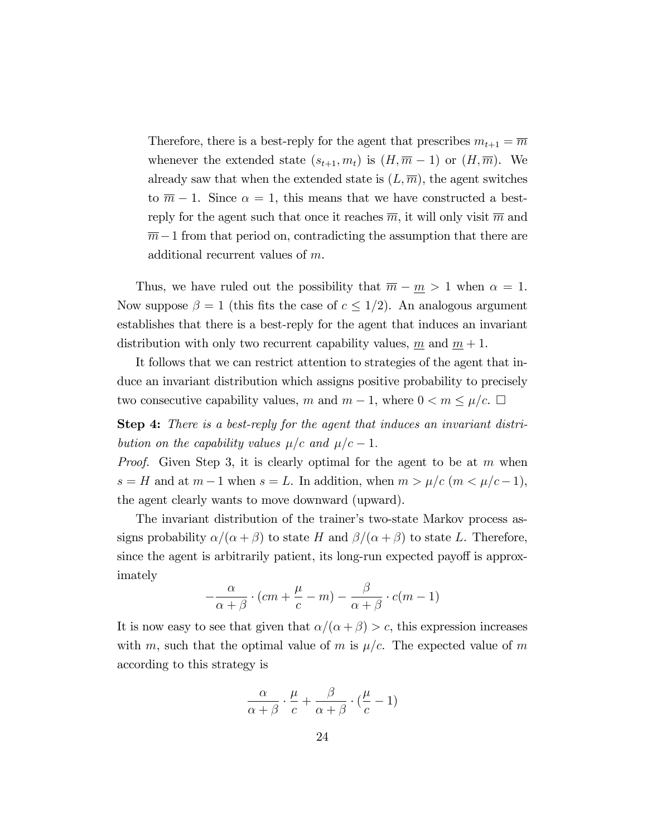Therefore, there is a best-reply for the agent that prescribes  $m_{t+1} = \overline{m}$ whenever the extended state  $(s_{t+1}, m_t)$  is  $(H, \overline{m} - 1)$  or  $(H, \overline{m})$ . We already saw that when the extended state is  $(L, \overline{m})$ , the agent switches to  $\overline{m} - 1$ . Since  $\alpha = 1$ , this means that we have constructed a bestreply for the agent such that once it reaches  $\overline{m}$ , it will only visit  $\overline{m}$  and  $\overline{m}-1$  from that period on, contradicting the assumption that there are additional recurrent values of m.

Thus, we have ruled out the possibility that  $\overline{m} - \underline{m} > 1$  when  $\alpha = 1$ . Now suppose  $\beta = 1$  (this fits the case of  $c \leq 1/2$ ). An analogous argument establishes that there is a best-reply for the agent that induces an invariant distribution with only two recurrent capability values, m and  $m + 1$ .

It follows that we can restrict attention to strategies of the agent that induce an invariant distribution which assigns positive probability to precisely two consecutive capability values, m and  $m-1$ , where  $0 < m \leq \mu/c$ .  $\Box$ 

Step 4: There is a best-reply for the agent that induces an invariant distribution on the capability values  $\mu/c$  and  $\mu/c - 1$ .

*Proof.* Given Step 3, it is clearly optimal for the agent to be at m when  $s = H$  and at  $m - 1$  when  $s = L$ . In addition, when  $m > \mu/c$   $(m < \mu/c - 1)$ , the agent clearly wants to move downward (upward).

The invariant distribution of the trainer's two-state Markov process assigns probability  $\alpha/(\alpha + \beta)$  to state H and  $\beta/(\alpha + \beta)$  to state L. Therefore, since the agent is arbitrarily patient, its long-run expected payoff is approximately

$$
-\frac{\alpha}{\alpha+\beta}\cdot (cm+\frac{\mu}{c}-m)-\frac{\beta}{\alpha+\beta}\cdot c(m-1)
$$

It is now easy to see that given that  $\alpha/(\alpha + \beta) > c$ , this expression increases with m, such that the optimal value of m is  $\mu/c$ . The expected value of m according to this strategy is

$$
\frac{\alpha}{\alpha+\beta}\cdot\frac{\mu}{c}+\frac{\beta}{\alpha+\beta}\cdot(\frac{\mu}{c}-1)
$$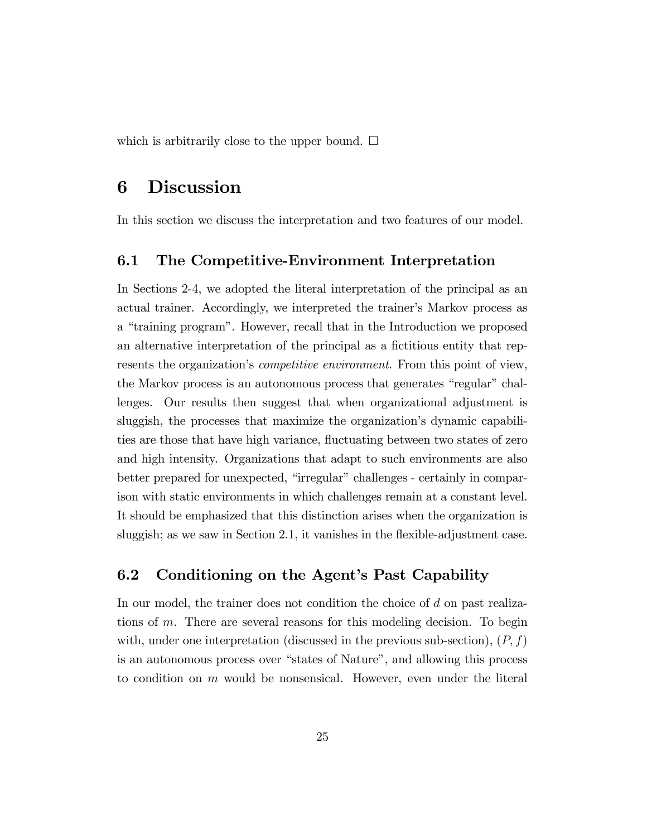which is arbitrarily close to the upper bound.  $\square$ 

# 6 Discussion

In this section we discuss the interpretation and two features of our model.

### 6.1 The Competitive-Environment Interpretation

In Sections 2-4, we adopted the literal interpretation of the principal as an actual trainer. Accordingly, we interpreted the trainer's Markov process as a "training program". However, recall that in the Introduction we proposed an alternative interpretation of the principal as a fictitious entity that represents the organization's *competitive environment*. From this point of view, the Markov process is an autonomous process that generates "regular" challenges. Our results then suggest that when organizational adjustment is sluggish, the processes that maximize the organization's dynamic capabilities are those that have high variance, fluctuating between two states of zero and high intensity. Organizations that adapt to such environments are also better prepared for unexpected, "irregular" challenges - certainly in comparison with static environments in which challenges remain at a constant level. It should be emphasized that this distinction arises when the organization is sluggish; as we saw in Section 2.1, it vanishes in the flexible-adjustment case.

### 6.2 Conditioning on the Agent's Past Capability

In our model, the trainer does not condition the choice of d on past realizations of m. There are several reasons for this modeling decision. To begin with, under one interpretation (discussed in the previous sub-section),  $(P, f)$ is an autonomous process over "states of Nature", and allowing this process to condition on  $m$  would be nonsensical. However, even under the literal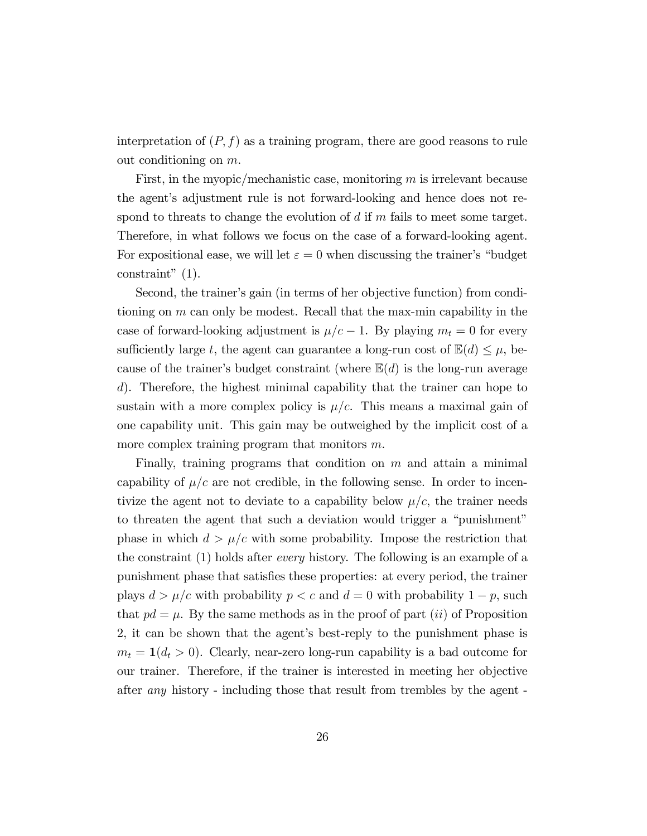interpretation of  $(P, f)$  as a training program, there are good reasons to rule out conditioning on  $m$ .

First, in the myopic/mechanistic case, monitoring  $m$  is irrelevant because the agent's adjustment rule is not forward-looking and hence does not respond to threats to change the evolution of  $d$  if  $m$  fails to meet some target. Therefore, in what follows we focus on the case of a forward-looking agent. For expositional ease, we will let  $\varepsilon = 0$  when discussing the trainer's "budget" constraint"  $(1)$ .

Second, the trainer's gain (in terms of her objective function) from conditioning on m can only be modest. Recall that the max-min capability in the case of forward-looking adjustment is  $\mu/c - 1$ . By playing  $m_t = 0$  for every sufficiently large t, the agent can guarantee a long-run cost of  $\mathbb{E}(d) \leq \mu$ , because of the trainer's budget constraint (where  $\mathbb{E}(d)$  is the long-run average d). Therefore, the highest minimal capability that the trainer can hope to sustain with a more complex policy is  $\mu/c$ . This means a maximal gain of one capability unit. This gain may be outweighed by the implicit cost of a more complex training program that monitors m.

Finally, training programs that condition on  $m$  and attain a minimal capability of  $\mu/c$  are not credible, in the following sense. In order to incentivize the agent not to deviate to a capability below  $\mu/c$ , the trainer needs to threaten the agent that such a deviation would trigger a "punishment" phase in which  $d > \mu/c$  with some probability. Impose the restriction that the constraint (1) holds after every history. The following is an example of a punishment phase that satisÖes these properties: at every period, the trainer plays  $d > \mu/c$  with probability  $p < c$  and  $d = 0$  with probability  $1 - p$ , such that  $pd = \mu$ . By the same methods as in the proof of part *(ii)* of Proposition 2, it can be shown that the agent's best-reply to the punishment phase is  $m_t = 1(d_t > 0)$ . Clearly, near-zero long-run capability is a bad outcome for our trainer. Therefore, if the trainer is interested in meeting her objective after any history - including those that result from trembles by the agent -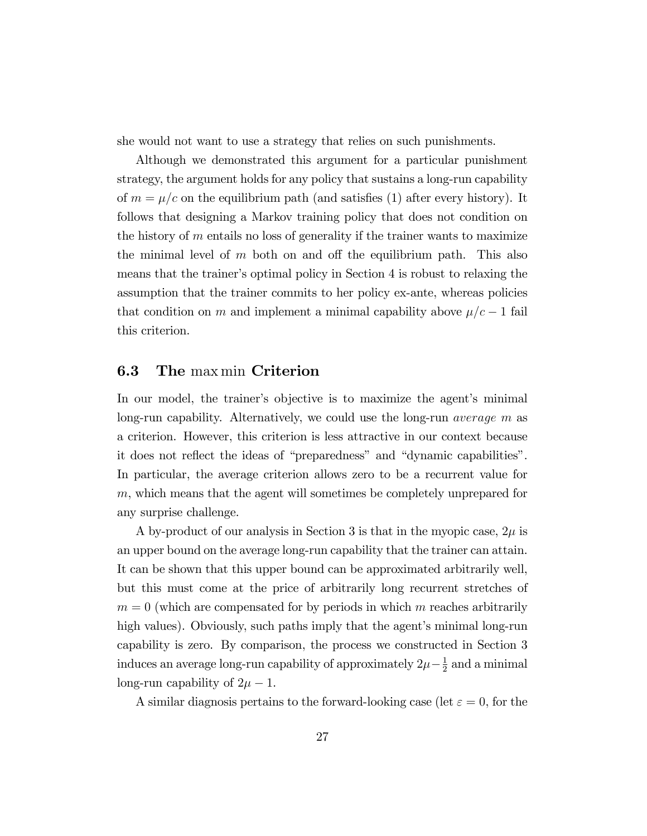she would not want to use a strategy that relies on such punishments.

Although we demonstrated this argument for a particular punishment strategy, the argument holds for any policy that sustains a long-run capability of  $m = \mu/c$  on the equilibrium path (and satisfies (1) after every history). It follows that designing a Markov training policy that does not condition on the history of  $m$  entails no loss of generality if the trainer wants to maximize the minimal level of  $m$  both on and off the equilibrium path. This also means that the trainer's optimal policy in Section 4 is robust to relaxing the assumption that the trainer commits to her policy ex-ante, whereas policies that condition on m and implement a minimal capability above  $\mu/c - 1$  fail this criterion.

### 6.3 The max min Criterion

In our model, the trainer's objective is to maximize the agent's minimal long-run capability. Alternatively, we could use the long-run average m as a criterion. However, this criterion is less attractive in our context because it does not reflect the ideas of "preparedness" and "dynamic capabilities". In particular, the average criterion allows zero to be a recurrent value for m, which means that the agent will sometimes be completely unprepared for any surprise challenge.

A by-product of our analysis in Section 3 is that in the myopic case,  $2\mu$  is an upper bound on the average long-run capability that the trainer can attain. It can be shown that this upper bound can be approximated arbitrarily well, but this must come at the price of arbitrarily long recurrent stretches of  $m = 0$  (which are compensated for by periods in which m reaches arbitrarily high values). Obviously, such paths imply that the agent's minimal long-run capability is zero. By comparison, the process we constructed in Section 3 induces an average long-run capability of approximately  $2\mu - \frac{1}{2}$  $\frac{1}{2}$  and a minimal long-run capability of  $2\mu - 1$ .

A similar diagnosis pertains to the forward-looking case (let  $\varepsilon = 0$ , for the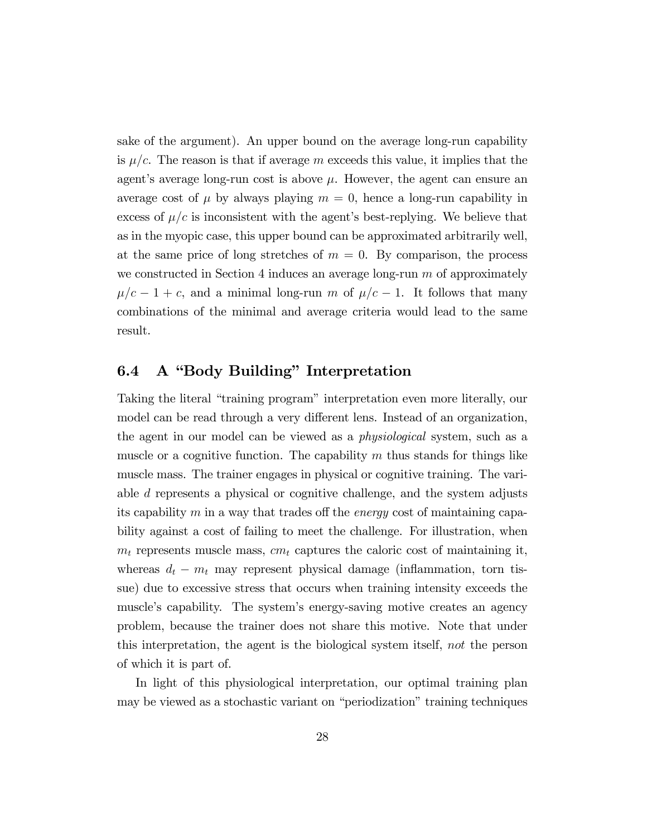sake of the argument). An upper bound on the average long-run capability is  $\mu/c$ . The reason is that if average m exceeds this value, it implies that the agent's average long-run cost is above  $\mu$ . However, the agent can ensure an average cost of  $\mu$  by always playing  $m = 0$ , hence a long-run capability in excess of  $\mu/c$  is inconsistent with the agent's best-replying. We believe that as in the myopic case, this upper bound can be approximated arbitrarily well, at the same price of long stretches of  $m = 0$ . By comparison, the process we constructed in Section 4 induces an average long-run  $m$  of approximately  $\mu/c - 1 + c$ , and a minimal long-run m of  $\mu/c - 1$ . It follows that many combinations of the minimal and average criteria would lead to the same result.

### 6.4 A "Body Building" Interpretation

Taking the literal "training program" interpretation even more literally, our model can be read through a very different lens. Instead of an organization, the agent in our model can be viewed as a physiological system, such as a muscle or a cognitive function. The capability  $m$  thus stands for things like muscle mass. The trainer engages in physical or cognitive training. The variable d represents a physical or cognitive challenge, and the system adjusts its capability m in a way that trades of the *energy* cost of maintaining capability against a cost of failing to meet the challenge. For illustration, when  $m_t$  represents muscle mass,  $cm_t$  captures the caloric cost of maintaining it, whereas  $d_t - m_t$  may represent physical damage (inflammation, torn tissue) due to excessive stress that occurs when training intensity exceeds the muscle's capability. The system's energy-saving motive creates an agency problem, because the trainer does not share this motive. Note that under this interpretation, the agent is the biological system itself, not the person of which it is part of.

In light of this physiological interpretation, our optimal training plan may be viewed as a stochastic variant on "periodization" training techniques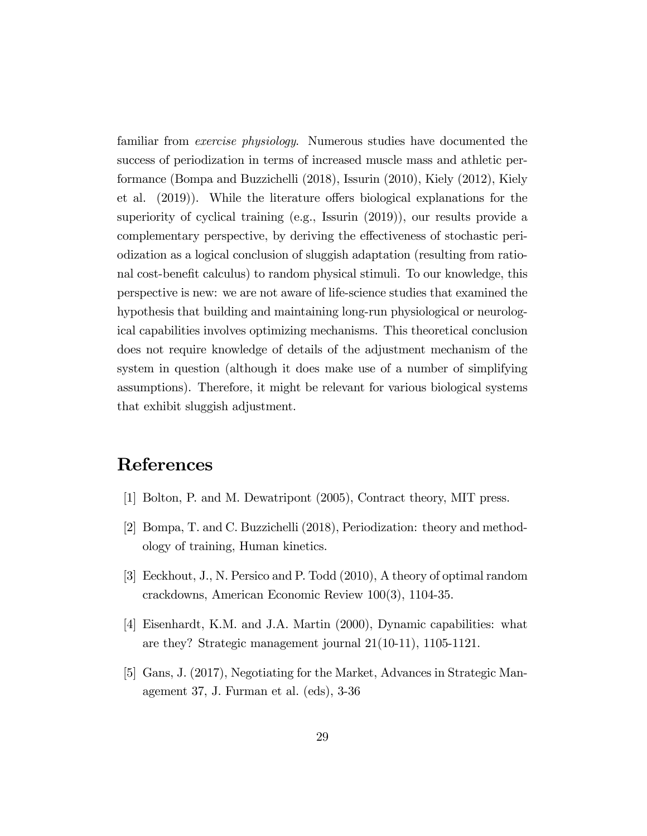familiar from exercise physiology. Numerous studies have documented the success of periodization in terms of increased muscle mass and athletic performance (Bompa and Buzzichelli (2018), Issurin (2010), Kiely (2012), Kiely et al.  $(2019)$ . While the literature offers biological explanations for the superiority of cyclical training (e.g., Issurin (2019)), our results provide a complementary perspective, by deriving the effectiveness of stochastic periodization as a logical conclusion of sluggish adaptation (resulting from rational cost-benefit calculus) to random physical stimuli. To our knowledge, this perspective is new: we are not aware of life-science studies that examined the hypothesis that building and maintaining long-run physiological or neurological capabilities involves optimizing mechanisms. This theoretical conclusion does not require knowledge of details of the adjustment mechanism of the system in question (although it does make use of a number of simplifying assumptions). Therefore, it might be relevant for various biological systems that exhibit sluggish adjustment.

# References

- [1] Bolton, P. and M. Dewatripont (2005), Contract theory, MIT press.
- [2] Bompa, T. and C. Buzzichelli (2018), Periodization: theory and methodology of training, Human kinetics.
- [3] Eeckhout, J., N. Persico and P. Todd (2010), A theory of optimal random crackdowns, American Economic Review 100(3), 1104-35.
- [4] Eisenhardt, K.M. and J.A. Martin (2000), Dynamic capabilities: what are they? Strategic management journal 21(10-11), 1105-1121.
- [5] Gans, J. (2017), Negotiating for the Market, Advances in Strategic Management 37, J. Furman et al. (eds), 3-36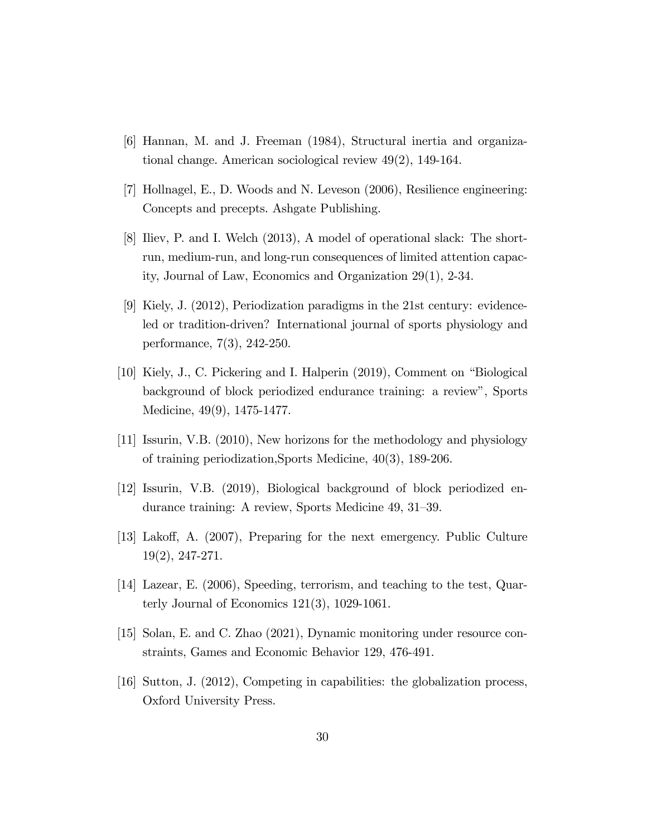- [6] Hannan, M. and J. Freeman (1984), Structural inertia and organizational change. American sociological review 49(2), 149-164.
- [7] Hollnagel, E., D. Woods and N. Leveson (2006), Resilience engineering: Concepts and precepts. Ashgate Publishing.
- [8] Iliev, P. and I. Welch (2013), A model of operational slack: The shortrun, medium-run, and long-run consequences of limited attention capacity, Journal of Law, Economics and Organization 29(1), 2-34.
- [9] Kiely, J. (2012), Periodization paradigms in the 21st century: evidenceled or tradition-driven? International journal of sports physiology and performance, 7(3), 242-250.
- [10] Kiely, J., C. Pickering and I. Halperin  $(2019)$ , Comment on "Biological" background of block periodized endurance training: a review", Sports Medicine, 49(9), 1475-1477.
- [11] Issurin, V.B. (2010), New horizons for the methodology and physiology of training periodization,Sports Medicine, 40(3), 189-206.
- [12] Issurin, V.B. (2019), Biological background of block periodized endurance training: A review, Sports Medicine  $49, 31-39$ .
- $[13]$  Lakoff, A.  $(2007)$ , Preparing for the next emergency. Public Culture 19(2), 247-271.
- [14] Lazear, E. (2006), Speeding, terrorism, and teaching to the test, Quarterly Journal of Economics 121(3), 1029-1061.
- [15] Solan, E. and C. Zhao (2021), Dynamic monitoring under resource constraints, Games and Economic Behavior 129, 476-491.
- [16] Sutton, J. (2012), Competing in capabilities: the globalization process, Oxford University Press.